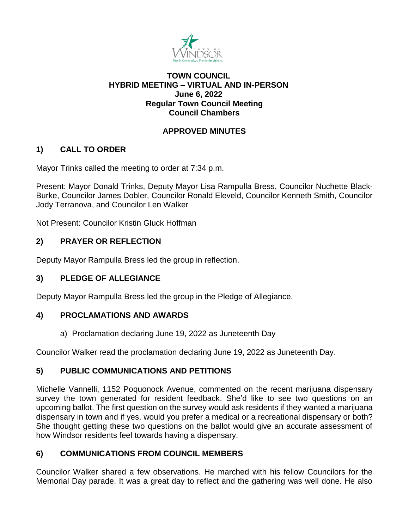

## **TOWN COUNCIL HYBRID MEETING – VIRTUAL AND IN-PERSON June 6, 2022 Regular Town Council Meeting Council Chambers**

## **APPROVED MINUTES**

# **1) CALL TO ORDER**

Mayor Trinks called the meeting to order at 7:34 p.m.

Present: Mayor Donald Trinks, Deputy Mayor Lisa Rampulla Bress, Councilor Nuchette Black-Burke, Councilor James Dobler, Councilor Ronald Eleveld, Councilor Kenneth Smith, Councilor Jody Terranova, and Councilor Len Walker

Not Present: Councilor Kristin Gluck Hoffman

## **2) PRAYER OR REFLECTION**

Deputy Mayor Rampulla Bress led the group in reflection.

## **3) PLEDGE OF ALLEGIANCE**

Deputy Mayor Rampulla Bress led the group in the Pledge of Allegiance.

## **4) PROCLAMATIONS AND AWARDS**

a) Proclamation declaring June 19, 2022 as Juneteenth Day

Councilor Walker read the proclamation declaring June 19, 2022 as Juneteenth Day.

## **5) PUBLIC COMMUNICATIONS AND PETITIONS**

Michelle Vannelli, 1152 Poquonock Avenue, commented on the recent marijuana dispensary survey the town generated for resident feedback. She'd like to see two questions on an upcoming ballot. The first question on the survey would ask residents if they wanted a marijuana dispensary in town and if yes, would you prefer a medical or a recreational dispensary or both? She thought getting these two questions on the ballot would give an accurate assessment of how Windsor residents feel towards having a dispensary.

# **6) COMMUNICATIONS FROM COUNCIL MEMBERS**

Councilor Walker shared a few observations. He marched with his fellow Councilors for the Memorial Day parade. It was a great day to reflect and the gathering was well done. He also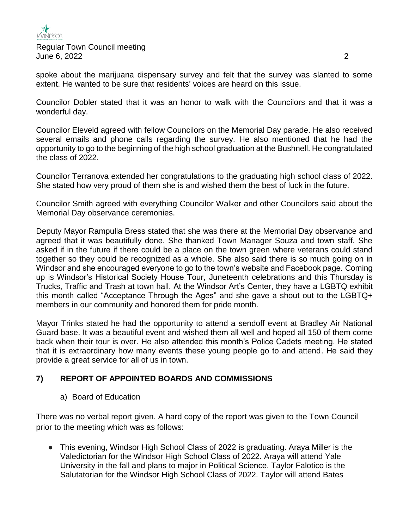spoke about the marijuana dispensary survey and felt that the survey was slanted to some extent. He wanted to be sure that residents' voices are heard on this issue.

Councilor Dobler stated that it was an honor to walk with the Councilors and that it was a wonderful day.

Councilor Eleveld agreed with fellow Councilors on the Memorial Day parade. He also received several emails and phone calls regarding the survey. He also mentioned that he had the opportunity to go to the beginning of the high school graduation at the Bushnell. He congratulated the class of 2022.

Councilor Terranova extended her congratulations to the graduating high school class of 2022. She stated how very proud of them she is and wished them the best of luck in the future.

Councilor Smith agreed with everything Councilor Walker and other Councilors said about the Memorial Day observance ceremonies.

Deputy Mayor Rampulla Bress stated that she was there at the Memorial Day observance and agreed that it was beautifully done. She thanked Town Manager Souza and town staff. She asked if in the future if there could be a place on the town green where veterans could stand together so they could be recognized as a whole. She also said there is so much going on in Windsor and she encouraged everyone to go to the town's website and Facebook page. Coming up is Windsor's Historical Society House Tour, Juneteenth celebrations and this Thursday is Trucks, Traffic and Trash at town hall. At the Windsor Art's Center, they have a LGBTQ exhibit this month called "Acceptance Through the Ages" and she gave a shout out to the LGBTQ+ members in our community and honored them for pride month.

Mayor Trinks stated he had the opportunity to attend a sendoff event at Bradley Air National Guard base. It was a beautiful event and wished them all well and hoped all 150 of them come back when their tour is over. He also attended this month's Police Cadets meeting. He stated that it is extraordinary how many events these young people go to and attend. He said they provide a great service for all of us in town.

## **7) REPORT OF APPOINTED BOARDS AND COMMISSIONS**

a) Board of Education

There was no verbal report given. A hard copy of the report was given to the Town Council prior to the meeting which was as follows:

● This evening, Windsor High School Class of 2022 is graduating. Araya Miller is the Valedictorian for the Windsor High School Class of 2022. Araya will attend Yale University in the fall and plans to major in Political Science. Taylor Falotico is the Salutatorian for the Windsor High School Class of 2022. Taylor will attend Bates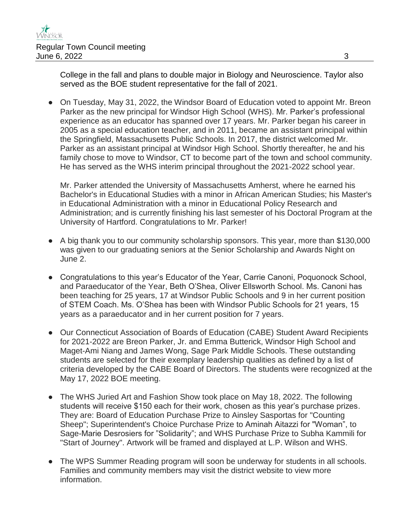College in the fall and plans to double major in Biology and Neuroscience. Taylor also served as the BOE student representative for the fall of 2021.

• On Tuesday, May 31, 2022, the Windsor Board of Education voted to appoint Mr. Breon Parker as the new principal for Windsor High School (WHS). Mr. Parker's professional experience as an educator has spanned over 17 years. Mr. Parker began his career in 2005 as a special education teacher, and in 2011, became an assistant principal within the Springfield, Massachusetts Public Schools. In 2017, the district welcomed Mr. Parker as an assistant principal at Windsor High School. Shortly thereafter, he and his family chose to move to Windsor, CT to become part of the town and school community. He has served as the WHS interim principal throughout the 2021-2022 school year.

Mr. Parker attended the University of Massachusetts Amherst, where he earned his Bachelor's in Educational Studies with a minor in African American Studies; his Master's in Educational Administration with a minor in Educational Policy Research and Administration; and is currently finishing his last semester of his Doctoral Program at the University of Hartford. Congratulations to Mr. Parker!

- A big thank you to our community scholarship sponsors. This year, more than \$130,000 was given to our graduating seniors at the Senior Scholarship and Awards Night on June 2.
- Congratulations to this year's Educator of the Year, Carrie Canoni, Poquonock School, and Paraeducator of the Year, Beth O'Shea, Oliver Ellsworth School. Ms. Canoni has been teaching for 25 years, 17 at Windsor Public Schools and 9 in her current position of STEM Coach. Ms. O'Shea has been with Windsor Public Schools for 21 years, 15 years as a paraeducator and in her current position for 7 years.
- Our Connecticut Association of Boards of Education (CABE) Student Award Recipients for 2021-2022 are Breon Parker, Jr. and Emma Butterick, Windsor High School and Maget-Ami Niang and James Wong, Sage Park Middle Schools. These outstanding students are selected for their exemplary leadership qualities as defined by a list of criteria developed by the CABE Board of Directors. The students were recognized at the May 17, 2022 BOE meeting.
- The WHS Juried Art and Fashion Show took place on May 18, 2022. The following students will receive \$150 each for their work, chosen as this year's purchase prizes. They are: Board of Education Purchase Prize to Ainsley Sasportas for "Counting Sheep"; Superintendent's Choice Purchase Prize to Aminah Aitazzi for "Woman", to Sage-Marie Desrosiers for "Solidarity"; and WHS Purchase Prize to Subha Kammili for "Start of Journey". Artwork will be framed and displayed at L.P. Wilson and WHS.
- The WPS Summer Reading program will soon be underway for students in all schools. Families and community members may visit the district website to view more information.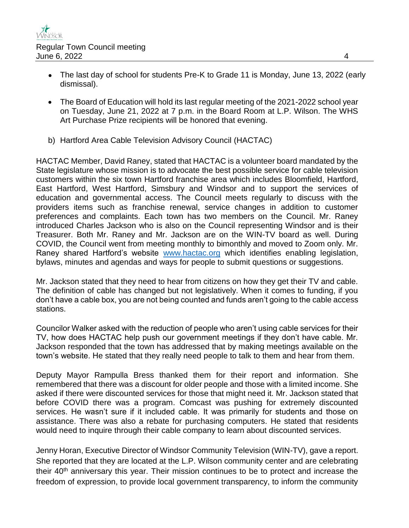- The last day of school for students Pre-K to Grade 11 is Monday, June 13, 2022 (early dismissal).
- The Board of Education will hold its last regular meeting of the 2021-2022 school year on Tuesday, June 21, 2022 at 7 p.m. in the Board Room at L.P. Wilson. The WHS Art Purchase Prize recipients will be honored that evening.
- b) Hartford Area Cable Television Advisory Council (HACTAC)

HACTAC Member, David Raney, stated that HACTAC is a volunteer board mandated by the State legislature whose mission is to advocate the best possible service for cable television customers within the six town Hartford franchise area which includes Bloomfield, Hartford, East Hartford, West Hartford, Simsbury and Windsor and to support the services of education and governmental access. The Council meets regularly to discuss with the providers items such as franchise renewal, service changes in addition to customer preferences and complaints. Each town has two members on the Council. Mr. Raney introduced Charles Jackson who is also on the Council representing Windsor and is their Treasurer. Both Mr. Raney and Mr. Jackson are on the WIN-TV board as well. During COVID, the Council went from meeting monthly to bimonthly and moved to Zoom only. Mr. Raney shared Hartford's website [www.hactac.org](http://www.hactac.org/) which identifies enabling legislation, bylaws, minutes and agendas and ways for people to submit questions or suggestions.

Mr. Jackson stated that they need to hear from citizens on how they get their TV and cable. The definition of cable has changed but not legislatively. When it comes to funding, if you don't have a cable box, you are not being counted and funds aren't going to the cable access stations.

Councilor Walker asked with the reduction of people who aren't using cable services for their TV, how does HACTAC help push our government meetings if they don't have cable. Mr. Jackson responded that the town has addressed that by making meetings available on the town's website. He stated that they really need people to talk to them and hear from them.

Deputy Mayor Rampulla Bress thanked them for their report and information. She remembered that there was a discount for older people and those with a limited income. She asked if there were discounted services for those that might need it. Mr. Jackson stated that before COVID there was a program. Comcast was pushing for extremely discounted services. He wasn't sure if it included cable. It was primarily for students and those on assistance. There was also a rebate for purchasing computers. He stated that residents would need to inquire through their cable company to learn about discounted services.

Jenny Horan, Executive Director of Windsor Community Television (WIN-TV), gave a report. She reported that they are located at the L.P. Wilson community center and are celebrating their  $40<sup>th</sup>$  anniversary this year. Their mission continues to be to protect and increase the freedom of expression, to provide local government transparency, to inform the community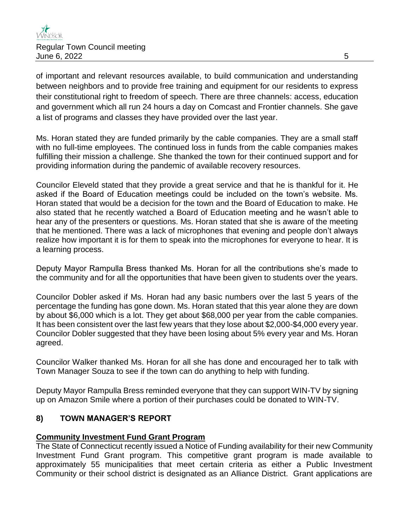of important and relevant resources available, to build communication and understanding between neighbors and to provide free training and equipment for our residents to express their constitutional right to freedom of speech. There are three channels: access, education and government which all run 24 hours a day on Comcast and Frontier channels. She gave a list of programs and classes they have provided over the last year.

Ms. Horan stated they are funded primarily by the cable companies. They are a small staff with no full-time employees. The continued loss in funds from the cable companies makes fulfilling their mission a challenge. She thanked the town for their continued support and for providing information during the pandemic of available recovery resources.

Councilor Eleveld stated that they provide a great service and that he is thankful for it. He asked if the Board of Education meetings could be included on the town's website. Ms. Horan stated that would be a decision for the town and the Board of Education to make. He also stated that he recently watched a Board of Education meeting and he wasn't able to hear any of the presenters or questions. Ms. Horan stated that she is aware of the meeting that he mentioned. There was a lack of microphones that evening and people don't always realize how important it is for them to speak into the microphones for everyone to hear. It is a learning process.

Deputy Mayor Rampulla Bress thanked Ms. Horan for all the contributions she's made to the community and for all the opportunities that have been given to students over the years.

Councilor Dobler asked if Ms. Horan had any basic numbers over the last 5 years of the percentage the funding has gone down. Ms. Horan stated that this year alone they are down by about \$6,000 which is a lot. They get about \$68,000 per year from the cable companies. It has been consistent over the last few years that they lose about \$2,000-\$4,000 every year. Councilor Dobler suggested that they have been losing about 5% every year and Ms. Horan agreed.

Councilor Walker thanked Ms. Horan for all she has done and encouraged her to talk with Town Manager Souza to see if the town can do anything to help with funding.

Deputy Mayor Rampulla Bress reminded everyone that they can support WIN-TV by signing up on Amazon Smile where a portion of their purchases could be donated to WIN-TV.

## **8) TOWN MANAGER'S REPORT**

### **Community Investment Fund Grant Program**

The State of Connecticut recently issued a Notice of Funding availability for their new Community Investment Fund Grant program. This competitive grant program is made available to approximately 55 municipalities that meet certain criteria as either a Public Investment Community or their school district is designated as an Alliance District. Grant applications are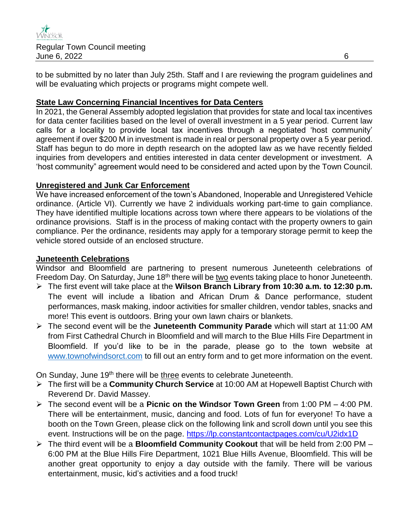

to be submitted by no later than July 25th. Staff and I are reviewing the program guidelines and will be evaluating which projects or programs might compete well.

### **State Law Concerning Financial Incentives for Data Centers**

In 2021, the General Assembly adopted legislation that provides for state and local tax incentives for data center facilities based on the level of overall investment in a 5 year period. Current law calls for a locality to provide local tax incentives through a negotiated 'host community' agreement if over \$200 M in investment is made in real or personal property over a 5 year period. Staff has begun to do more in depth research on the adopted law as we have recently fielded inquiries from developers and entities interested in data center development or investment. A 'host community" agreement would need to be considered and acted upon by the Town Council.

### **Unregistered and Junk Car Enforcement**

We have increased enforcement of the town's Abandoned, Inoperable and Unregistered Vehicle ordinance. (Article VI). Currently we have 2 individuals working part-time to gain compliance. They have identified multiple locations across town where there appears to be violations of the ordinance provisions. Staff is in the process of making contact with the property owners to gain compliance. Per the ordinance, residents may apply for a temporary storage permit to keep the vehicle stored outside of an enclosed structure.

### **Juneteenth Celebrations**

Windsor and Bloomfield are partnering to present numerous Juneteenth celebrations of Freedom Day. On Saturday, June 18<sup>th</sup> there will be two events taking place to honor Juneteenth.

- The first event will take place at the **Wilson Branch Library from 10:30 a.m. to 12:30 p.m.**  The event will include a libation and African Drum & Dance performance, student performances, mask making, indoor activities for smaller children, vendor tables, snacks and more! This event is outdoors. Bring your own lawn chairs or blankets.
- The second event will be the **Juneteenth Community Parade** which will start at 11:00 AM from First Cathedral Church in Bloomfield and will march to the Blue Hills Fire Department in Bloomfield. If you'd like to be in the parade, please go to the town website at [www.townofwindsorct.com](http://www.townofwindsorct.com/) to fill out an entry form and to get more information on the event.

On Sunday, June 19<sup>th</sup> there will be three events to celebrate Juneteenth.

- The first will be a **Community Church Service** at 10:00 AM at Hopewell Baptist Church with Reverend Dr. David Massey.
- The second event will be a **Picnic on the Windsor Town Green** from 1:00 PM 4:00 PM. There will be entertainment, music, dancing and food. Lots of fun for everyone! To have a booth on the Town Green, please click on the following link and scroll down until you see this event. Instructions will be on the page. <https://lp.constantcontactpages.com/cu/U2idx1D>
- The third event will be a **Bloomfield Community Cookout** that will be held from 2:00 PM 6:00 PM at the Blue Hills Fire Department, 1021 Blue Hills Avenue, Bloomfield. This will be another great opportunity to enjoy a day outside with the family. There will be various entertainment, music, kid's activities and a food truck!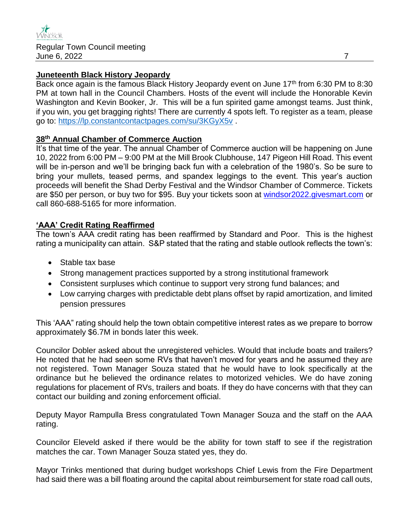#### **Juneteenth Black History Jeopardy**

Back once again is the famous Black History Jeopardy event on June 17<sup>th</sup> from 6:30 PM to 8:30 PM at town hall in the Council Chambers. Hosts of the event will include the Honorable Kevin Washington and Kevin Booker, Jr. This will be a fun spirited game amongst teams. Just think, if you win, you get bragging rights! There are currently 4 spots left. To register as a team, please go to:<https://lp.constantcontactpages.com/su/3KGyX5v> .

### **38th Annual Chamber of Commerce Auction**

It's that time of the year. The annual Chamber of Commerce auction will be happening on June 10, 2022 from 6:00 PM – 9:00 PM at the Mill Brook Clubhouse, 147 Pigeon Hill Road. This event will be in-person and we'll be bringing back fun with a celebration of the 1980's. So be sure to bring your mullets, teased perms, and spandex leggings to the event. This year's auction proceeds will benefit the Shad Derby Festival and the Windsor Chamber of Commerce. Tickets are \$50 per person, or buy two for \$95. Buy your tickets soon at [windsor2022.givesmart.com](https://windsor2022.givesmart.com/) or call 860-688-5165 for more information.

### **'AAA' Credit Rating Reaffirmed**

The town's AAA credit rating has been reaffirmed by Standard and Poor. This is the highest rating a municipality can attain. S&P stated that the rating and stable outlook reflects the town's:

- Stable tax base
- Strong management practices supported by a strong institutional framework
- Consistent surpluses which continue to support very strong fund balances; and
- Low carrying charges with predictable debt plans offset by rapid amortization, and limited pension pressures

This 'AAA" rating should help the town obtain competitive interest rates as we prepare to borrow approximately \$6.7M in bonds later this week.

Councilor Dobler asked about the unregistered vehicles. Would that include boats and trailers? He noted that he had seen some RVs that haven't moved for years and he assumed they are not registered. Town Manager Souza stated that he would have to look specifically at the ordinance but he believed the ordinance relates to motorized vehicles. We do have zoning regulations for placement of RVs, trailers and boats. If they do have concerns with that they can contact our building and zoning enforcement official.

Deputy Mayor Rampulla Bress congratulated Town Manager Souza and the staff on the AAA rating.

Councilor Eleveld asked if there would be the ability for town staff to see if the registration matches the car. Town Manager Souza stated yes, they do.

Mayor Trinks mentioned that during budget workshops Chief Lewis from the Fire Department had said there was a bill floating around the capital about reimbursement for state road call outs,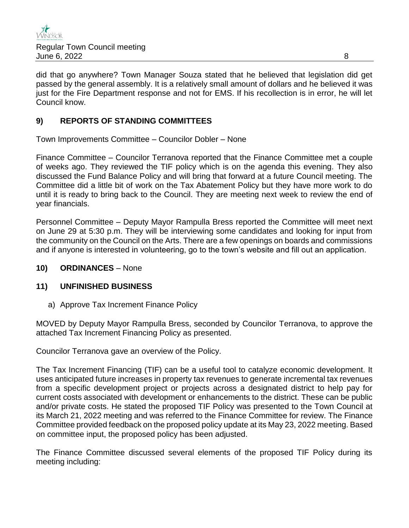

did that go anywhere? Town Manager Souza stated that he believed that legislation did get passed by the general assembly. It is a relatively small amount of dollars and he believed it was just for the Fire Department response and not for EMS. If his recollection is in error, he will let Council know.

### **9) REPORTS OF STANDING COMMITTEES**

Town Improvements Committee – Councilor Dobler – None

Finance Committee – Councilor Terranova reported that the Finance Committee met a couple of weeks ago. They reviewed the TIF policy which is on the agenda this evening. They also discussed the Fund Balance Policy and will bring that forward at a future Council meeting. The Committee did a little bit of work on the Tax Abatement Policy but they have more work to do until it is ready to bring back to the Council. They are meeting next week to review the end of year financials.

Personnel Committee – Deputy Mayor Rampulla Bress reported the Committee will meet next on June 29 at 5:30 p.m. They will be interviewing some candidates and looking for input from the community on the Council on the Arts. There are a few openings on boards and commissions and if anyone is interested in volunteering, go to the town's website and fill out an application.

#### **10) ORDINANCES** – None

### **11) UNFINISHED BUSINESS**

a) Approve Tax Increment Finance Policy

MOVED by Deputy Mayor Rampulla Bress, seconded by Councilor Terranova, to approve the attached Tax Increment Financing Policy as presented.

Councilor Terranova gave an overview of the Policy.

The Tax Increment Financing (TIF) can be a useful tool to catalyze economic development. It uses anticipated future increases in property tax revenues to generate incremental tax revenues from a specific development project or projects across a designated district to help pay for current costs associated with development or enhancements to the district. These can be public and/or private costs. He stated the proposed TIF Policy was presented to the Town Council at its March 21, 2022 meeting and was referred to the Finance Committee for review. The Finance Committee provided feedback on the proposed policy update at its May 23, 2022 meeting. Based on committee input, the proposed policy has been adjusted.

The Finance Committee discussed several elements of the proposed TIF Policy during its meeting including: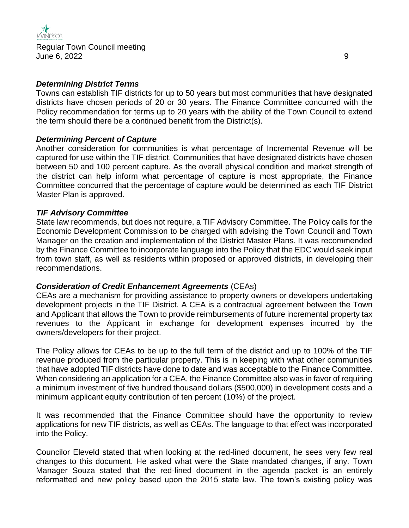### *Determining District Terms*

Towns can establish TIF districts for up to 50 years but most communities that have designated districts have chosen periods of 20 or 30 years. The Finance Committee concurred with the Policy recommendation for terms up to 20 years with the ability of the Town Council to extend the term should there be a continued benefit from the District(s).

### *Determining Percent of Capture*

Another consideration for communities is what percentage of Incremental Revenue will be captured for use within the TIF district. Communities that have designated districts have chosen between 50 and 100 percent capture. As the overall physical condition and market strength of the district can help inform what percentage of capture is most appropriate, the Finance Committee concurred that the percentage of capture would be determined as each TIF District Master Plan is approved.

### *TIF Advisory Committee*

State law recommends, but does not require, a TIF Advisory Committee. The Policy calls for the Economic Development Commission to be charged with advising the Town Council and Town Manager on the creation and implementation of the District Master Plans. It was recommended by the Finance Committee to incorporate language into the Policy that the EDC would seek input from town staff, as well as residents within proposed or approved districts, in developing their recommendations.

### *Consideration of Credit Enhancement Agreements* (CEAs)

CEAs are a mechanism for providing assistance to property owners or developers undertaking development projects in the TIF District. A CEA is a contractual agreement between the Town and Applicant that allows the Town to provide reimbursements of future incremental property tax revenues to the Applicant in exchange for development expenses incurred by the owners/developers for their project.

The Policy allows for CEAs to be up to the full term of the district and up to 100% of the TIF revenue produced from the particular property. This is in keeping with what other communities that have adopted TIF districts have done to date and was acceptable to the Finance Committee. When considering an application for a CEA, the Finance Committee also was in favor of requiring a minimum investment of five hundred thousand dollars (\$500,000) in development costs and a minimum applicant equity contribution of ten percent (10%) of the project.

It was recommended that the Finance Committee should have the opportunity to review applications for new TIF districts, as well as CEAs. The language to that effect was incorporated into the Policy.

Councilor Eleveld stated that when looking at the red-lined document, he sees very few real changes to this document. He asked what were the State mandated changes, if any. Town Manager Souza stated that the red-lined document in the agenda packet is an entirely reformatted and new policy based upon the 2015 state law. The town's existing policy was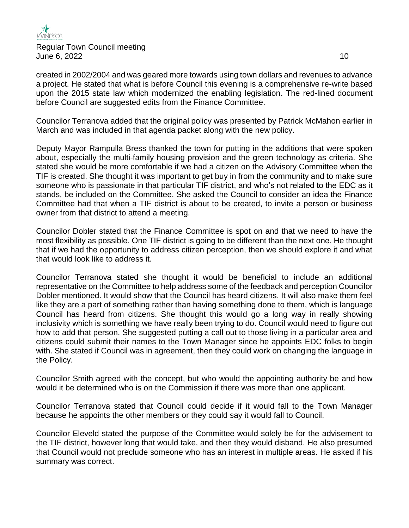

created in 2002/2004 and was geared more towards using town dollars and revenues to advance a project. He stated that what is before Council this evening is a comprehensive re-write based upon the 2015 state law which modernized the enabling legislation. The red-lined document before Council are suggested edits from the Finance Committee.

Councilor Terranova added that the original policy was presented by Patrick McMahon earlier in March and was included in that agenda packet along with the new policy.

Deputy Mayor Rampulla Bress thanked the town for putting in the additions that were spoken about, especially the multi-family housing provision and the green technology as criteria. She stated she would be more comfortable if we had a citizen on the Advisory Committee when the TIF is created. She thought it was important to get buy in from the community and to make sure someone who is passionate in that particular TIF district, and who's not related to the EDC as it stands, be included on the Committee. She asked the Council to consider an idea the Finance Committee had that when a TIF district is about to be created, to invite a person or business owner from that district to attend a meeting.

Councilor Dobler stated that the Finance Committee is spot on and that we need to have the most flexibility as possible. One TIF district is going to be different than the next one. He thought that if we had the opportunity to address citizen perception, then we should explore it and what that would look like to address it.

Councilor Terranova stated she thought it would be beneficial to include an additional representative on the Committee to help address some of the feedback and perception Councilor Dobler mentioned. It would show that the Council has heard citizens. It will also make them feel like they are a part of something rather than having something done to them, which is language Council has heard from citizens. She thought this would go a long way in really showing inclusivity which is something we have really been trying to do. Council would need to figure out how to add that person. She suggested putting a call out to those living in a particular area and citizens could submit their names to the Town Manager since he appoints EDC folks to begin with. She stated if Council was in agreement, then they could work on changing the language in the Policy.

Councilor Smith agreed with the concept, but who would the appointing authority be and how would it be determined who is on the Commission if there was more than one applicant.

Councilor Terranova stated that Council could decide if it would fall to the Town Manager because he appoints the other members or they could say it would fall to Council.

Councilor Eleveld stated the purpose of the Committee would solely be for the advisement to the TIF district, however long that would take, and then they would disband. He also presumed that Council would not preclude someone who has an interest in multiple areas. He asked if his summary was correct.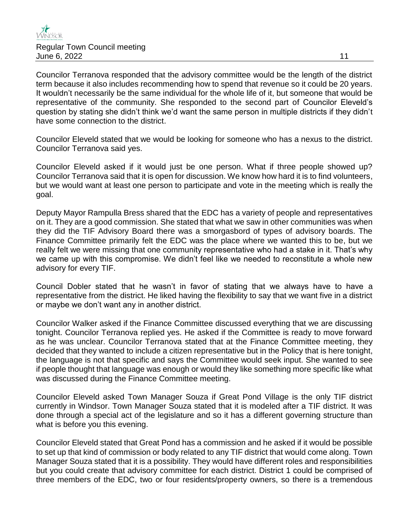

Councilor Terranova responded that the advisory committee would be the length of the district term because it also includes recommending how to spend that revenue so it could be 20 years. It wouldn't necessarily be the same individual for the whole life of it, but someone that would be representative of the community. She responded to the second part of Councilor Eleveld's question by stating she didn't think we'd want the same person in multiple districts if they didn't have some connection to the district.

Councilor Eleveld stated that we would be looking for someone who has a nexus to the district. Councilor Terranova said yes.

Councilor Eleveld asked if it would just be one person. What if three people showed up? Councilor Terranova said that it is open for discussion. We know how hard it is to find volunteers, but we would want at least one person to participate and vote in the meeting which is really the goal.

Deputy Mayor Rampulla Bress shared that the EDC has a variety of people and representatives on it. They are a good commission. She stated that what we saw in other communities was when they did the TIF Advisory Board there was a smorgasbord of types of advisory boards. The Finance Committee primarily felt the EDC was the place where we wanted this to be, but we really felt we were missing that one community representative who had a stake in it. That's why we came up with this compromise. We didn't feel like we needed to reconstitute a whole new advisory for every TIF.

Council Dobler stated that he wasn't in favor of stating that we always have to have a representative from the district. He liked having the flexibility to say that we want five in a district or maybe we don't want any in another district.

Councilor Walker asked if the Finance Committee discussed everything that we are discussing tonight. Councilor Terranova replied yes. He asked if the Committee is ready to move forward as he was unclear. Councilor Terranova stated that at the Finance Committee meeting, they decided that they wanted to include a citizen representative but in the Policy that is here tonight, the language is not that specific and says the Committee would seek input. She wanted to see if people thought that language was enough or would they like something more specific like what was discussed during the Finance Committee meeting.

Councilor Eleveld asked Town Manager Souza if Great Pond Village is the only TIF district currently in Windsor. Town Manager Souza stated that it is modeled after a TIF district. It was done through a special act of the legislature and so it has a different governing structure than what is before you this evening.

Councilor Eleveld stated that Great Pond has a commission and he asked if it would be possible to set up that kind of commission or body related to any TIF district that would come along. Town Manager Souza stated that it is a possibility. They would have different roles and responsibilities but you could create that advisory committee for each district. District 1 could be comprised of three members of the EDC, two or four residents/property owners, so there is a tremendous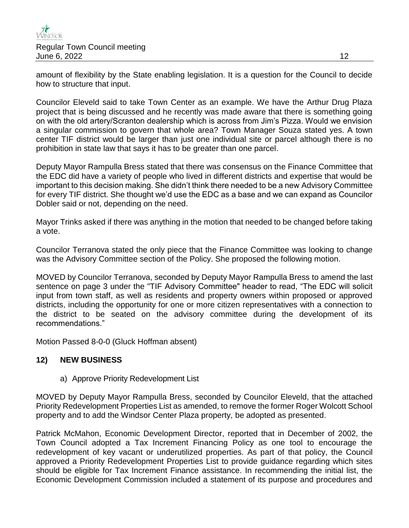

amount of flexibility by the State enabling legislation. It is a question for the Council to decide how to structure that input.

Councilor Eleveld said to take Town Center as an example. We have the Arthur Drug Plaza project that is being discussed and he recently was made aware that there is something going on with the old artery/Scranton dealership which is across from Jim's Pizza. Would we envision a singular commission to govern that whole area? Town Manager Souza stated yes. A town center TIF district would be larger than just one individual site or parcel although there is no prohibition in state law that says it has to be greater than one parcel.

Deputy Mayor Rampulla Bress stated that there was consensus on the Finance Committee that the EDC did have a variety of people who lived in different districts and expertise that would be important to this decision making. She didn't think there needed to be a new Advisory Committee for every TIF district. She thought we'd use the EDC as a base and we can expand as Councilor Dobler said or not, depending on the need.

Mayor Trinks asked if there was anything in the motion that needed to be changed before taking a vote.

Councilor Terranova stated the only piece that the Finance Committee was looking to change was the Advisory Committee section of the Policy. She proposed the following motion.

MOVED by Councilor Terranova, seconded by Deputy Mayor Rampulla Bress to amend the last sentence on page 3 under the "TIF Advisory Committee" header to read, "The EDC will solicit input from town staff, as well as residents and property owners within proposed or approved districts, including the opportunity for one or more citizen representatives with a connection to the district to be seated on the advisory committee during the development of its recommendations."

Motion Passed 8-0-0 (Gluck Hoffman absent)

### **12) NEW BUSINESS**

a) Approve Priority Redevelopment List

MOVED by Deputy Mayor Rampulla Bress, seconded by Councilor Eleveld, that the attached Priority Redevelopment Properties List as amended, to remove the former Roger Wolcott School property and to add the Windsor Center Plaza property, be adopted as presented.

Patrick McMahon, Economic Development Director, reported that in December of 2002, the Town Council adopted a Tax Increment Financing Policy as one tool to encourage the redevelopment of key vacant or underutilized properties. As part of that policy, the Council approved a Priority Redevelopment Properties List to provide guidance regarding which sites should be eligible for Tax Increment Finance assistance. In recommending the initial list, the Economic Development Commission included a statement of its purpose and procedures and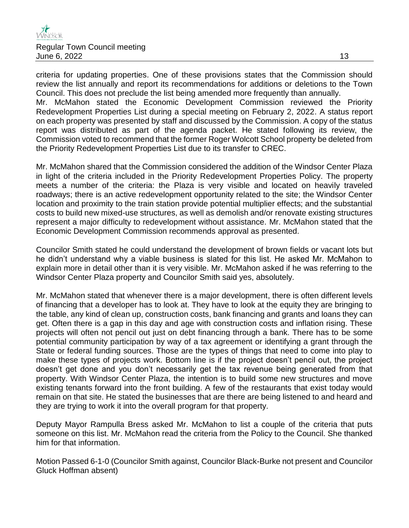

criteria for updating properties. One of these provisions states that the Commission should review the list annually and report its recommendations for additions or deletions to the Town Council. This does not preclude the list being amended more frequently than annually. Mr. McMahon stated the Economic Development Commission reviewed the Priority Redevelopment Properties List during a special meeting on February 2, 2022. A status report on each property was presented by staff and discussed by the Commission. A copy of the status report was distributed as part of the agenda packet. He stated following its review, the Commission voted to recommend that the former Roger Wolcott School property be deleted from the Priority Redevelopment Properties List due to its transfer to CREC.

Mr. McMahon shared that the Commission considered the addition of the Windsor Center Plaza in light of the criteria included in the Priority Redevelopment Properties Policy. The property meets a number of the criteria: the Plaza is very visible and located on heavily traveled roadways; there is an active redevelopment opportunity related to the site; the Windsor Center location and proximity to the train station provide potential multiplier effects; and the substantial costs to build new mixed-use structures, as well as demolish and/or renovate existing structures represent a major difficulty to redevelopment without assistance. Mr. McMahon stated that the Economic Development Commission recommends approval as presented.

Councilor Smith stated he could understand the development of brown fields or vacant lots but he didn't understand why a viable business is slated for this list. He asked Mr. McMahon to explain more in detail other than it is very visible. Mr. McMahon asked if he was referring to the Windsor Center Plaza property and Councilor Smith said yes, absolutely.

Mr. McMahon stated that whenever there is a major development, there is often different levels of financing that a developer has to look at. They have to look at the equity they are bringing to the table, any kind of clean up, construction costs, bank financing and grants and loans they can get. Often there is a gap in this day and age with construction costs and inflation rising. These projects will often not pencil out just on debt financing through a bank. There has to be some potential community participation by way of a tax agreement or identifying a grant through the State or federal funding sources. Those are the types of things that need to come into play to make these types of projects work. Bottom line is if the project doesn't pencil out, the project doesn't get done and you don't necessarily get the tax revenue being generated from that property. With Windsor Center Plaza, the intention is to build some new structures and move existing tenants forward into the front building. A few of the restaurants that exist today would remain on that site. He stated the businesses that are there are being listened to and heard and they are trying to work it into the overall program for that property.

Deputy Mayor Rampulla Bress asked Mr. McMahon to list a couple of the criteria that puts someone on this list. Mr. McMahon read the criteria from the Policy to the Council. She thanked him for that information.

Motion Passed 6-1-0 (Councilor Smith against, Councilor Black-Burke not present and Councilor Gluck Hoffman absent)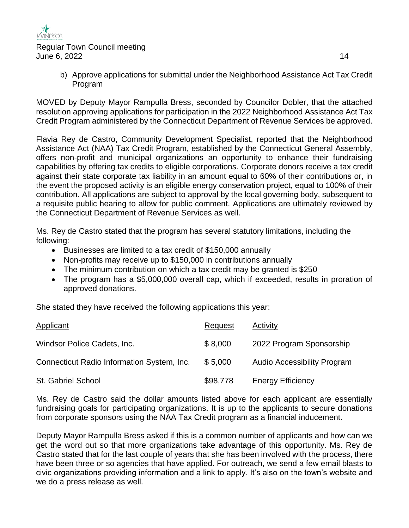

b) Approve applications for submittal under the Neighborhood Assistance Act Tax Credit Program

MOVED by Deputy Mayor Rampulla Bress, seconded by Councilor Dobler, that the attached resolution approving applications for participation in the 2022 Neighborhood Assistance Act Tax Credit Program administered by the Connecticut Department of Revenue Services be approved.

Flavia Rey de Castro, Community Development Specialist, reported that the Neighborhood Assistance Act (NAA) Tax Credit Program, established by the Connecticut General Assembly, offers non-profit and municipal organizations an opportunity to enhance their fundraising capabilities by offering tax credits to eligible corporations. Corporate donors receive a tax credit against their state corporate tax liability in an amount equal to 60% of their contributions or, in the event the proposed activity is an eligible energy conservation project, equal to 100% of their contribution. All applications are subject to approval by the local governing body, subsequent to a requisite public hearing to allow for public comment. Applications are ultimately reviewed by the Connecticut Department of Revenue Services as well.

Ms. Rey de Castro stated that the program has several statutory limitations, including the following:

- Businesses are limited to a tax credit of \$150,000 annually
- Non-profits may receive up to \$150,000 in contributions annually
- The minimum contribution on which a tax credit may be granted is \$250
- The program has a \$5,000,000 overall cap, which if exceeded, results in proration of approved donations.

She stated they have received the following applications this year:

| Applicant                                  | Request  | Activity                           |
|--------------------------------------------|----------|------------------------------------|
| Windsor Police Cadets, Inc.                | \$8,000  | 2022 Program Sponsorship           |
| Connecticut Radio Information System, Inc. | \$5,000  | <b>Audio Accessibility Program</b> |
| St. Gabriel School                         | \$98,778 | <b>Energy Efficiency</b>           |

Ms. Rey de Castro said the dollar amounts listed above for each applicant are essentially fundraising goals for participating organizations. It is up to the applicants to secure donations from corporate sponsors using the NAA Tax Credit program as a financial inducement.

Deputy Mayor Rampulla Bress asked if this is a common number of applicants and how can we get the word out so that more organizations take advantage of this opportunity. Ms. Rey de Castro stated that for the last couple of years that she has been involved with the process, there have been three or so agencies that have applied. For outreach, we send a few email blasts to civic organizations providing information and a link to apply. It's also on the town's website and we do a press release as well.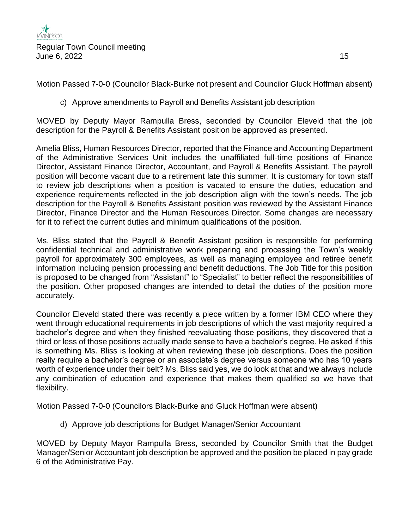Motion Passed 7-0-0 (Councilor Black-Burke not present and Councilor Gluck Hoffman absent)

c) Approve amendments to Payroll and Benefits Assistant job description

MOVED by Deputy Mayor Rampulla Bress, seconded by Councilor Eleveld that the job description for the Payroll & Benefits Assistant position be approved as presented.

Amelia Bliss, Human Resources Director, reported that the Finance and Accounting Department of the Administrative Services Unit includes the unaffiliated full-time positions of Finance Director, Assistant Finance Director, Accountant, and Payroll & Benefits Assistant. The payroll position will become vacant due to a retirement late this summer. It is customary for town staff to review job descriptions when a position is vacated to ensure the duties, education and experience requirements reflected in the job description align with the town's needs. The job description for the Payroll & Benefits Assistant position was reviewed by the Assistant Finance Director, Finance Director and the Human Resources Director. Some changes are necessary for it to reflect the current duties and minimum qualifications of the position.

Ms. Bliss stated that the Payroll & Benefit Assistant position is responsible for performing confidential technical and administrative work preparing and processing the Town's weekly payroll for approximately 300 employees, as well as managing employee and retiree benefit information including pension processing and benefit deductions. The Job Title for this position is proposed to be changed from "Assistant" to "Specialist" to better reflect the responsibilities of the position. Other proposed changes are intended to detail the duties of the position more accurately.

Councilor Eleveld stated there was recently a piece written by a former IBM CEO where they went through educational requirements in job descriptions of which the vast majority required a bachelor's degree and when they finished reevaluating those positions, they discovered that a third or less of those positions actually made sense to have a bachelor's degree. He asked if this is something Ms. Bliss is looking at when reviewing these job descriptions. Does the position really require a bachelor's degree or an associate's degree versus someone who has 10 years worth of experience under their belt? Ms. Bliss said yes, we do look at that and we always include any combination of education and experience that makes them qualified so we have that flexibility.

Motion Passed 7-0-0 (Councilors Black-Burke and Gluck Hoffman were absent)

d) Approve job descriptions for Budget Manager/Senior Accountant

MOVED by Deputy Mayor Rampulla Bress, seconded by Councilor Smith that the Budget Manager/Senior Accountant job description be approved and the position be placed in pay grade 6 of the Administrative Pay.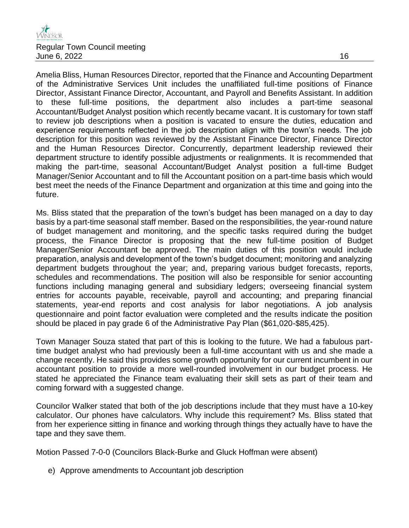Amelia Bliss, Human Resources Director, reported that the Finance and Accounting Department of the Administrative Services Unit includes the unaffiliated full-time positions of Finance Director, Assistant Finance Director, Accountant, and Payroll and Benefits Assistant. In addition to these full-time positions, the department also includes a part-time seasonal Accountant/Budget Analyst position which recently became vacant. It is customary for town staff to review job descriptions when a position is vacated to ensure the duties, education and experience requirements reflected in the job description align with the town's needs. The job description for this position was reviewed by the Assistant Finance Director, Finance Director and the Human Resources Director. Concurrently, department leadership reviewed their department structure to identify possible adjustments or realignments. It is recommended that making the part-time, seasonal Accountant/Budget Analyst position a full-time Budget Manager/Senior Accountant and to fill the Accountant position on a part-time basis which would best meet the needs of the Finance Department and organization at this time and going into the future.

Ms. Bliss stated that the preparation of the town's budget has been managed on a day to day basis by a part-time seasonal staff member. Based on the responsibilities, the year-round nature of budget management and monitoring, and the specific tasks required during the budget process, the Finance Director is proposing that the new full-time position of Budget Manager/Senior Accountant be approved. The main duties of this position would include preparation, analysis and development of the town's budget document; monitoring and analyzing department budgets throughout the year; and, preparing various budget forecasts, reports, schedules and recommendations. The position will also be responsible for senior accounting functions including managing general and subsidiary ledgers; overseeing financial system entries for accounts payable, receivable, payroll and accounting; and preparing financial statements, year-end reports and cost analysis for labor negotiations. A job analysis questionnaire and point factor evaluation were completed and the results indicate the position should be placed in pay grade 6 of the Administrative Pay Plan (\$61,020-\$85,425).

Town Manager Souza stated that part of this is looking to the future. We had a fabulous parttime budget analyst who had previously been a full-time accountant with us and she made a change recently. He said this provides some growth opportunity for our current incumbent in our accountant position to provide a more well-rounded involvement in our budget process. He stated he appreciated the Finance team evaluating their skill sets as part of their team and coming forward with a suggested change.

Councilor Walker stated that both of the job descriptions include that they must have a 10-key calculator. Our phones have calculators. Why include this requirement? Ms. Bliss stated that from her experience sitting in finance and working through things they actually have to have the tape and they save them.

Motion Passed 7-0-0 (Councilors Black-Burke and Gluck Hoffman were absent)

e) Approve amendments to Accountant job description